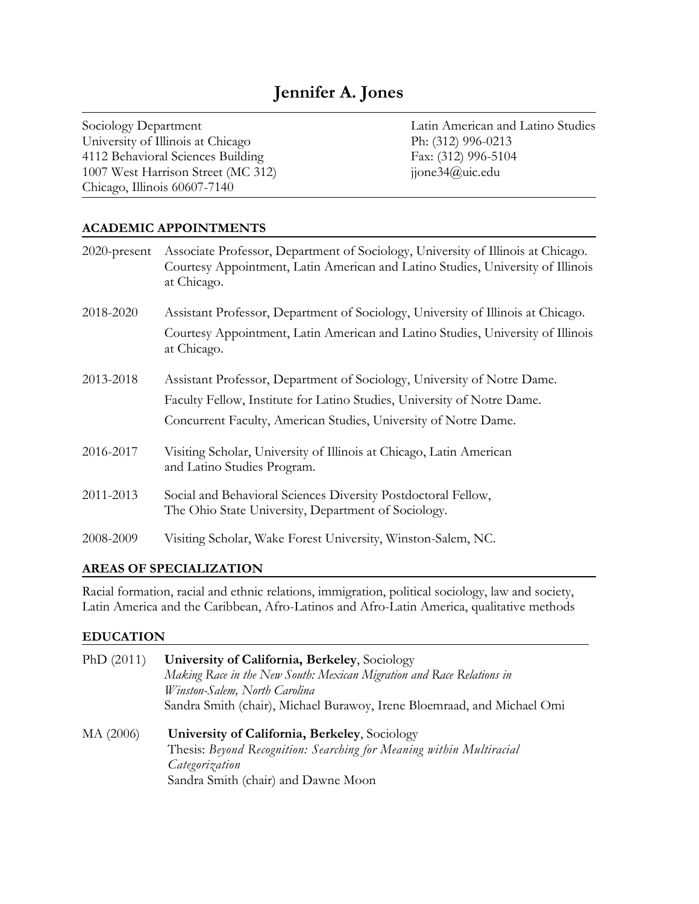University of Illinois at Chicago Ph: (312) 996-0213 4112 Behavioral Sciences Building Fax: (312) 996-5104 1007 West Harrison Street (MC 312) jjone34@uic.edu Chicago, Illinois 60607-7140

Sociology Department Latin American and Latino Studies

#### **ACADEMIC APPOINTMENTS**

| $2020$ -present | Associate Professor, Department of Sociology, University of Illinois at Chicago.<br>Courtesy Appointment, Latin American and Latino Studies, University of Illinois<br>at Chicago. |
|-----------------|------------------------------------------------------------------------------------------------------------------------------------------------------------------------------------|
| 2018-2020       | Assistant Professor, Department of Sociology, University of Illinois at Chicago.                                                                                                   |
|                 | Courtesy Appointment, Latin American and Latino Studies, University of Illinois<br>at Chicago.                                                                                     |
| 2013-2018       | Assistant Professor, Department of Sociology, University of Notre Dame.                                                                                                            |
|                 | Faculty Fellow, Institute for Latino Studies, University of Notre Dame.                                                                                                            |
|                 | Concurrent Faculty, American Studies, University of Notre Dame.                                                                                                                    |
| 2016-2017       | Visiting Scholar, University of Illinois at Chicago, Latin American<br>and Latino Studies Program.                                                                                 |
| 2011-2013       | Social and Behavioral Sciences Diversity Postdoctoral Fellow,<br>The Ohio State University, Department of Sociology.                                                               |
| 2008-2009       | Visiting Scholar, Wake Forest University, Winston-Salem, NC.                                                                                                                       |

#### **AREAS OF SPECIALIZATION**

Racial formation, racial and ethnic relations, immigration, political sociology, law and society, Latin America and the Caribbean, Afro-Latinos and Afro-Latin America, qualitative methods

#### **EDUCATION**

| PhD $(2011)$ | University of California, Berkeley, Sociology<br>Making Race in the New South: Mexican Migration and Race Relations in<br>Winston-Salem, North Carolina<br>Sandra Smith (chair), Michael Burawoy, Irene Bloemraad, and Michael Omi |
|--------------|------------------------------------------------------------------------------------------------------------------------------------------------------------------------------------------------------------------------------------|
| MA (2006)    | University of California, Berkeley, Sociology<br>Thesis: Beyond Recognition: Searching for Meaning within Multiracial<br>Categorization<br>Sandra Smith (chair) and Dawne Moon                                                     |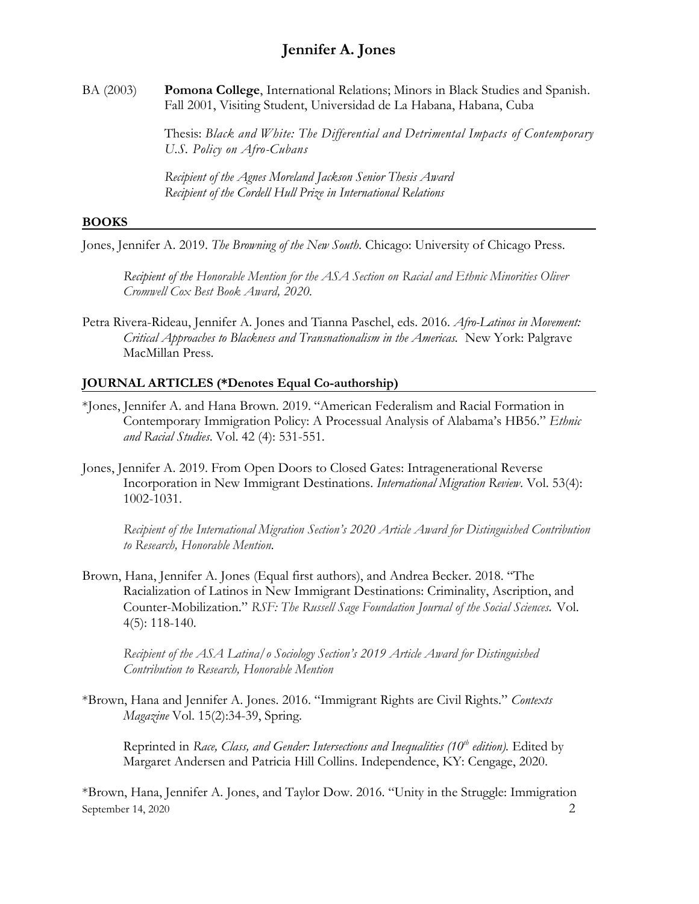BA (2003) **Pomona College**, International Relations; Minors in Black Studies and Spanish. Fall 2001, Visiting Student, Universidad de La Habana, Habana, Cuba

> Thesis: *Black and White: The Differential and Detrimental Impacts of Contemporary U.S. Policy on Afro-Cubans*

*Recipient of the Agnes Moreland Jackson Senior Thesis Award Recipient of the Cordell Hull Prize in International Relations*

#### **BOOKS**

Jones, Jennifer A. 2019. *The Browning of the New South.* Chicago: University of Chicago Press.

*Recipient of the Honorable Mention for the ASA Section on Racial and Ethnic Minorities Oliver Cromwell Cox Best Book Award, 2020.*

Petra Rivera-Rideau, Jennifer A. Jones and Tianna Paschel, eds. 2016. *Afro-Latinos in Movement: Critical Approaches to Blackness and Transnationalism in the Americas.* New York: Palgrave MacMillan Press.

#### **JOURNAL ARTICLES (\*Denotes Equal Co-authorship)**

- \*Jones, Jennifer A. and Hana Brown. 2019. "American Federalism and Racial Formation in Contemporary Immigration Policy: A Processual Analysis of Alabama's HB56." *Ethnic and Racial Studies*. Vol. 42 (4): 531-551.
- Jones, Jennifer A. 2019. From Open Doors to Closed Gates: Intragenerational Reverse Incorporation in New Immigrant Destinations. *International Migration Review*. Vol. 53(4): 1002-1031.

*Recipient of the International Migration Section's 2020 Article Award for Distinguished Contribution to Research, Honorable Mention.*

Brown, Hana, Jennifer A. Jones (Equal first authors), and Andrea Becker. 2018. "The Racialization of Latinos in New Immigrant Destinations: Criminality, Ascription, and Counter-Mobilization." *RSF: The Russell Sage Foundation Journal of the Social Sciences.* Vol. 4(5): 118-140.

*Recipient of the ASA Latina/o Sociology Section's 2019 Article Award for Distinguished Contribution to Research, Honorable Mention*

\*Brown, Hana and Jennifer A. Jones. 2016. "Immigrant Rights are Civil Rights." *Contexts Magazine* Vol. 15(2):34-39, Spring.

Reprinted in *Race, Class, and Gender: Intersections and Inequalities (10th edition).* Edited by Margaret Andersen and Patricia Hill Collins. Independence, KY: Cengage, 2020.

September 14, 2020  $\overline{2}$ \*Brown, Hana, Jennifer A. Jones, and Taylor Dow. 2016. "Unity in the Struggle: Immigration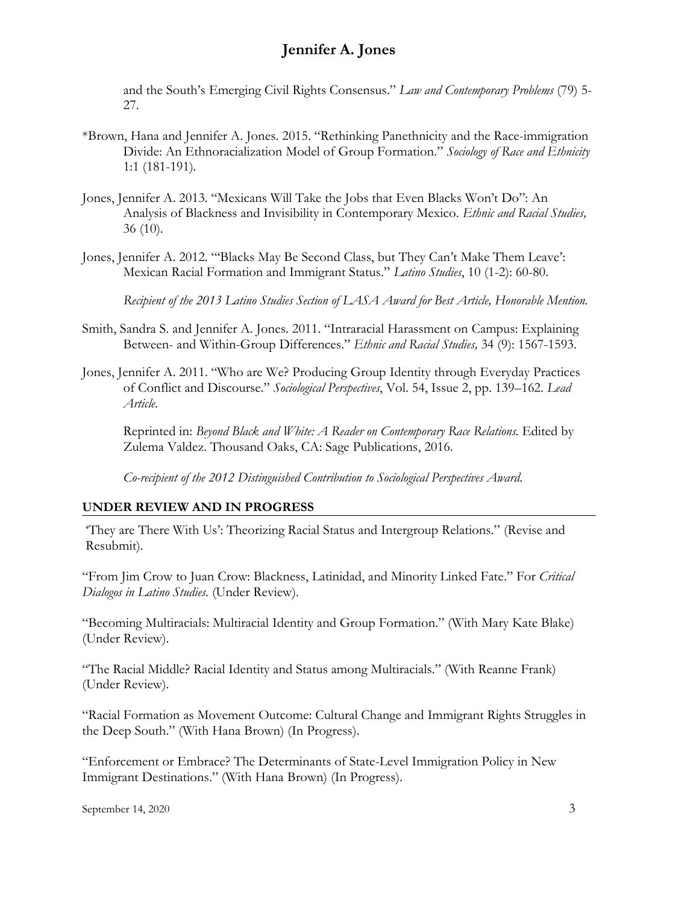and the South's Emerging Civil Rights Consensus." *Law and Contemporary Problems* (79) 5- 27.

- \*Brown, Hana and Jennifer A. Jones. 2015. "Rethinking Panethnicity and the Race-immigration Divide: An Ethnoracialization Model of Group Formation." *Sociology of Race and Ethnicity*  1:1 (181-191)*.*
- Jones, Jennifer A. 2013*.* "Mexicans Will Take the Jobs that Even Blacks Won't Do": An Analysis of Blackness and Invisibility in Contemporary Mexico. *Ethnic and Racial Studies,* 36 (10)*.*
- Jones, Jennifer A. 2012*.* "'Blacks May Be Second Class, but They Can't Make Them Leave': Mexican Racial Formation and Immigrant Status." *Latino Studies*, 10 (1-2): 60-80.

*Recipient of the 2013 Latino Studies Section of LASA Award for Best Article, Honorable Mention.*

- Smith, Sandra S. and Jennifer A. Jones. 2011. "Intraracial Harassment on Campus: Explaining Between- and Within-Group Differences." *Ethnic and Racial Studies,* 34 (9): 1567-1593.
- Jones, Jennifer A. 2011. "Who are We? Producing Group Identity through Everyday Practices of Conflict and Discourse." *Sociological Perspectives*, Vol. 54, Issue 2, pp. 139–162. *Lead Article.*

Reprinted in: *Beyond Black and White: A Reader on Contemporary Race Relations.* Edited by Zulema Valdez. Thousand Oaks, CA: Sage Publications, 2016.

*Co-recipient of the 2012 Distinguished Contribution to Sociological Perspectives Award*.

#### **UNDER REVIEW AND IN PROGRESS**

'They are There With Us': Theorizing Racial Status and Intergroup Relations." (Revise and Resubmit).

"From Jim Crow to Juan Crow: Blackness, Latinidad, and Minority Linked Fate." For *Critical Dialogos in Latino Studies.* (Under Review).

"Becoming Multiracials: Multiracial Identity and Group Formation." (With Mary Kate Blake) (Under Review).

"The Racial Middle? Racial Identity and Status among Multiracials." (With Reanne Frank) (Under Review).

"Racial Formation as Movement Outcome: Cultural Change and Immigrant Rights Struggles in the Deep South." (With Hana Brown) (In Progress).

"Enforcement or Embrace? The Determinants of State-Level Immigration Policy in New Immigrant Destinations." (With Hana Brown) (In Progress).

September 14, 2020  $\overline{3}$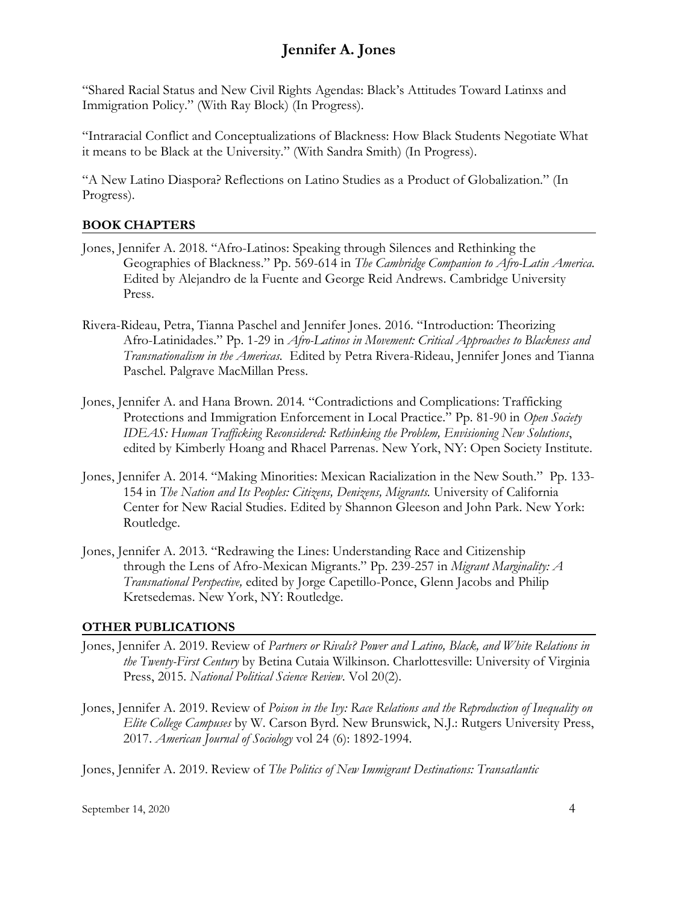"Shared Racial Status and New Civil Rights Agendas: Black's Attitudes Toward Latinxs and Immigration Policy." (With Ray Block) (In Progress).

"Intraracial Conflict and Conceptualizations of Blackness: How Black Students Negotiate What it means to be Black at the University." (With Sandra Smith) (In Progress).

"A New Latino Diaspora? Reflections on Latino Studies as a Product of Globalization." (In Progress).

#### **BOOK CHAPTERS**

- Jones, Jennifer A. 2018. "Afro-Latinos: Speaking through Silences and Rethinking the Geographies of Blackness." Pp. 569-614 in *The Cambridge Companion to Afro-Latin America.*  Edited by Alejandro de la Fuente and George Reid Andrews. Cambridge University Press.
- Rivera-Rideau, Petra, Tianna Paschel and Jennifer Jones. 2016. "Introduction: Theorizing Afro-Latinidades." Pp. 1-29 in *Afro-Latinos in Movement: Critical Approaches to Blackness and Transnationalism in the Americas.* Edited by Petra Rivera-Rideau, Jennifer Jones and Tianna Paschel. Palgrave MacMillan Press.
- Jones, Jennifer A. and Hana Brown. 2014*.* "Contradictions and Complications: Trafficking Protections and Immigration Enforcement in Local Practice." Pp. 81-90 in *Open Society IDEAS: Human Trafficking Reconsidered: Rethinking the Problem, Envisioning New Solutions*, edited by Kimberly Hoang and Rhacel Parrenas. New York, NY: Open Society Institute.
- Jones, Jennifer A. 2014*.* "Making Minorities: Mexican Racialization in the New South." Pp. 133- 154 in *The Nation and Its Peoples: Citizens, Denizens, Migrants.* University of California Center for New Racial Studies. Edited by Shannon Gleeson and John Park. New York: Routledge.
- Jones, Jennifer A. 2013*.* "Redrawing the Lines: Understanding Race and Citizenship through the Lens of Afro-Mexican Migrants." Pp. 239-257 in *Migrant Marginality: A Transnational Perspective,* edited by Jorge Capetillo-Ponce, Glenn Jacobs and Philip Kretsedemas. New York, NY: Routledge.

#### **OTHER PUBLICATIONS**

- Jones, Jennifer A. 2019. Review of *Partners or Rivals? Power and Latino, Black, and White Relations in the Twenty-First Century* by Betina Cutaia Wilkinson. Charlottesville: University of Virginia Press, 2015. *National Political Science Review*. Vol 20(2).
- Jones, Jennifer A. 2019. Review of *Poison in the Ivy: Race Relations and the Reproduction of Inequality on Elite College Campuses* by W. Carson Byrd. New Brunswick, N.J.: Rutgers University Press, 2017. *American Journal of Sociology* vol 24 (6): 1892-1994.

Jones, Jennifer A. 2019. Review of *The Politics of New Immigrant Destinations: Transatlantic*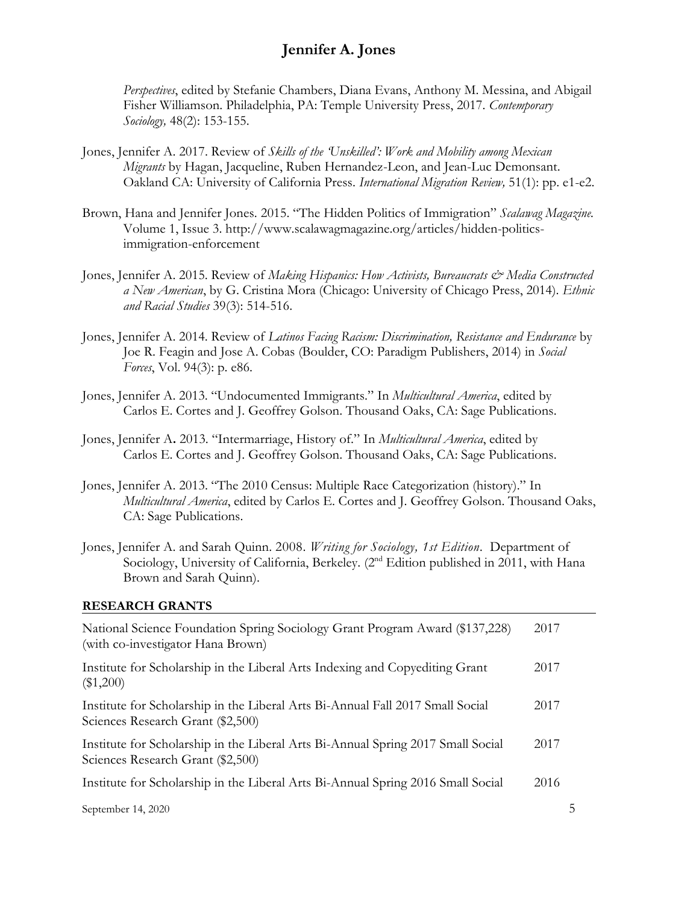*Perspectives*, edited by Stefanie Chambers, Diana Evans, Anthony M. Messina, and Abigail Fisher Williamson. Philadelphia, PA: Temple University Press, 2017. *Contemporary Sociology,* 48(2): 153-155.

- Jones, Jennifer A. 2017. Review of *Skills of the 'Unskilled': Work and Mobility among Mexican Migrants* by Hagan, Jacqueline, Ruben Hernandez-Leon, and Jean-Luc Demonsant. Oakland CA: University of California Press. *International Migration Review,* 51(1): pp. e1-e2.
- Brown, Hana and Jennifer Jones. 2015. "The Hidden Politics of Immigration" *Scalawag Magazine.* Volume 1, Issue 3. http://www.scalawagmagazine.org/articles/hidden-politicsimmigration-enforcement
- Jones, Jennifer A. 2015. Review of *Making Hispanics: How Activists, Bureaucrats & Media Constructed a New American*, by G. Cristina Mora (Chicago: University of Chicago Press, 2014). *Ethnic and Racial Studies* 39(3): 514-516.
- Jones, Jennifer A. 2014. Review of *Latinos Facing Racism: Discrimination, Resistance and Endurance* by Joe R. Feagin and Jose A. Cobas (Boulder, CO: Paradigm Publishers, 2014) in *Social Forces*, Vol. 94(3): p. e86.
- Jones, Jennifer A. 2013. "Undocumented Immigrants." In *Multicultural America*, edited by Carlos E. Cortes and J. Geoffrey Golson. Thousand Oaks, CA: Sage Publications.
- Jones, Jennifer A**.** 2013. "Intermarriage, History of." In *Multicultural America*, edited by Carlos E. Cortes and J. Geoffrey Golson. Thousand Oaks, CA: Sage Publications.
- Jones, Jennifer A. 2013. "The 2010 Census: Multiple Race Categorization (history)." In *Multicultural America*, edited by Carlos E. Cortes and J. Geoffrey Golson. Thousand Oaks, CA: Sage Publications.
- Jones, Jennifer A. and Sarah Quinn. 2008. *Writing for Sociology, 1st Edition.* Department of Sociology, University of California, Berkeley. (2<sup>nd</sup> Edition published in 2011, with Hana Brown and Sarah Quinn).

#### **RESEARCH GRANTS**

| National Science Foundation Spring Sociology Grant Program Award (\$137,228)<br>(with co-investigator Hana Brown)     | 2017 |   |
|-----------------------------------------------------------------------------------------------------------------------|------|---|
| Institute for Scholarship in the Liberal Arts Indexing and Copyediting Grant<br>(\$1,200)                             | 2017 |   |
| Institute for Scholarship in the Liberal Arts Bi-Annual Fall 2017 Small Social<br>Sciences Research Grant (\$2,500)   | 2017 |   |
| Institute for Scholarship in the Liberal Arts Bi-Annual Spring 2017 Small Social<br>Sciences Research Grant (\$2,500) | 2017 |   |
| Institute for Scholarship in the Liberal Arts Bi-Annual Spring 2016 Small Social                                      | 2016 |   |
| September 14, 2020                                                                                                    |      | ר |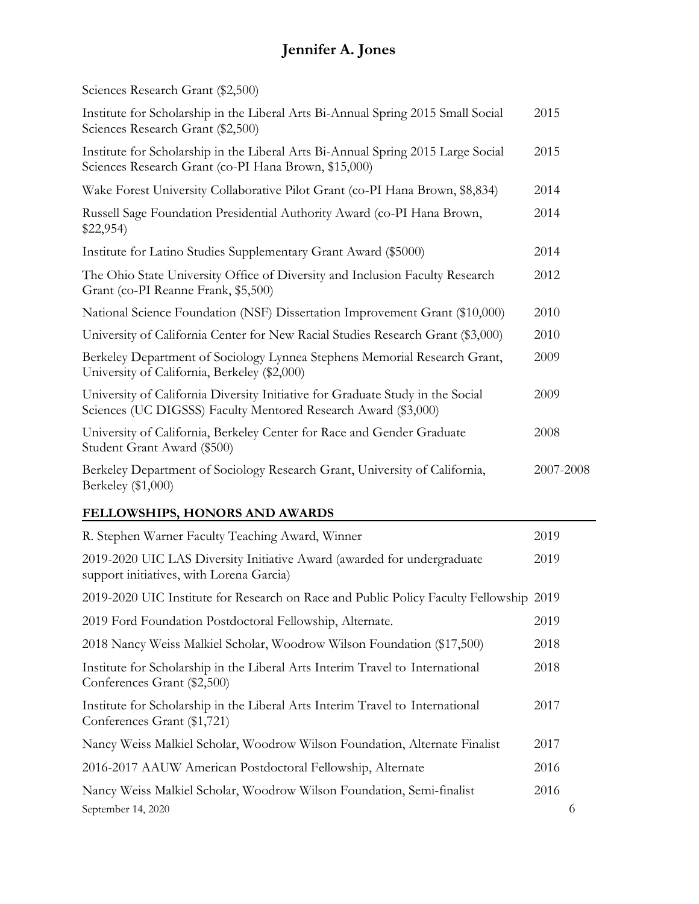| Sciences Research Grant (\$2,500) |  |  |
|-----------------------------------|--|--|
|-----------------------------------|--|--|

| Institute for Scholarship in the Liberal Arts Bi-Annual Spring 2015 Small Social<br>Sciences Research Grant (\$2,500)                            | 2015      |
|--------------------------------------------------------------------------------------------------------------------------------------------------|-----------|
| Institute for Scholarship in the Liberal Arts Bi-Annual Spring 2015 Large Social<br>Sciences Research Grant (co-PI Hana Brown, \$15,000)         | 2015      |
| Wake Forest University Collaborative Pilot Grant (co-PI Hana Brown, \$8,834)                                                                     | 2014      |
| Russell Sage Foundation Presidential Authority Award (co-PI Hana Brown,<br>\$22,954                                                              | 2014      |
| Institute for Latino Studies Supplementary Grant Award (\$5000)                                                                                  | 2014      |
| The Ohio State University Office of Diversity and Inclusion Faculty Research<br>Grant (co-PI Reanne Frank, \$5,500)                              | 2012      |
| National Science Foundation (NSF) Dissertation Improvement Grant (\$10,000)                                                                      | 2010      |
| University of California Center for New Racial Studies Research Grant (\$3,000)                                                                  | 2010      |
| Berkeley Department of Sociology Lynnea Stephens Memorial Research Grant,<br>University of California, Berkeley (\$2,000)                        | 2009      |
| University of California Diversity Initiative for Graduate Study in the Social<br>Sciences (UC DIGSSS) Faculty Mentored Research Award (\$3,000) | 2009      |
| University of California, Berkeley Center for Race and Gender Graduate<br>Student Grant Award (\$500)                                            | 2008      |
| Berkeley Department of Sociology Research Grant, University of California,<br>Berkeley (\$1,000)                                                 | 2007-2008 |
|                                                                                                                                                  |           |

### **FELLOWSHIPS, HONORS AND AWARDS**

| R. Stephen Warner Faculty Teaching Award, Winner                                                                    | 2019 |   |
|---------------------------------------------------------------------------------------------------------------------|------|---|
| 2019-2020 UIC LAS Diversity Initiative Award (awarded for undergraduate<br>support initiatives, with Lorena Garcia) | 2019 |   |
| 2019-2020 UIC Institute for Research on Race and Public Policy Faculty Fellowship 2019                              |      |   |
| 2019 Ford Foundation Postdoctoral Fellowship, Alternate.                                                            | 2019 |   |
| 2018 Nancy Weiss Malkiel Scholar, Woodrow Wilson Foundation (\$17,500)                                              | 2018 |   |
| Institute for Scholarship in the Liberal Arts Interim Travel to International<br>Conferences Grant (\$2,500)        | 2018 |   |
| Institute for Scholarship in the Liberal Arts Interim Travel to International<br>Conferences Grant (\$1,721)        | 2017 |   |
| Nancy Weiss Malkiel Scholar, Woodrow Wilson Foundation, Alternate Finalist                                          | 2017 |   |
| 2016-2017 AAUW American Postdoctoral Fellowship, Alternate                                                          | 2016 |   |
| Nancy Weiss Malkiel Scholar, Woodrow Wilson Foundation, Semi-finalist                                               | 2016 |   |
| September 14, 2020                                                                                                  |      | 6 |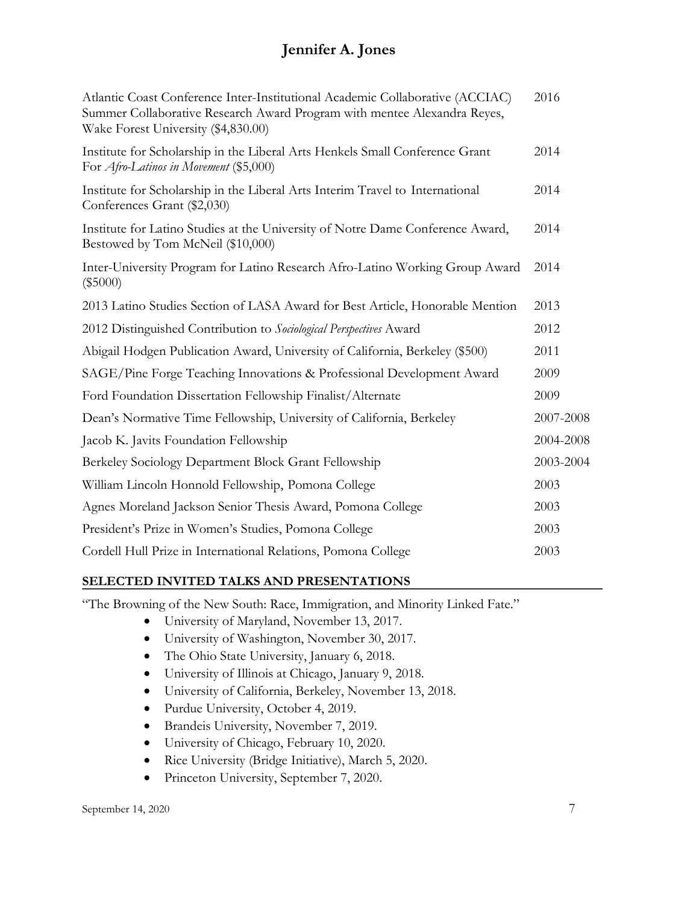| Atlantic Coast Conference Inter-Institutional Academic Collaborative (ACCIAC)<br>Summer Collaborative Research Award Program with mentee Alexandra Reyes,<br>Wake Forest University (\$4,830.00) | 2016      |
|--------------------------------------------------------------------------------------------------------------------------------------------------------------------------------------------------|-----------|
| Institute for Scholarship in the Liberal Arts Henkels Small Conference Grant<br>For <i>Afro-Latinos in Movement</i> (\$5,000)                                                                    | 2014      |
| Institute for Scholarship in the Liberal Arts Interim Travel to International<br>Conferences Grant (\$2,030)                                                                                     | 2014      |
| Institute for Latino Studies at the University of Notre Dame Conference Award,<br>Bestowed by Tom McNeil (\$10,000)                                                                              | 2014      |
| Inter-University Program for Latino Research Afro-Latino Working Group Award<br>$(\$5000)$                                                                                                       | 2014      |
| 2013 Latino Studies Section of LASA Award for Best Article, Honorable Mention                                                                                                                    | 2013      |
| 2012 Distinguished Contribution to Sociological Perspectives Award                                                                                                                               | 2012      |
| Abigail Hodgen Publication Award, University of California, Berkeley (\$500)                                                                                                                     | 2011      |
| SAGE/Pine Forge Teaching Innovations & Professional Development Award                                                                                                                            | 2009      |
| Ford Foundation Dissertation Fellowship Finalist/Alternate                                                                                                                                       | 2009      |
| Dean's Normative Time Fellowship, University of California, Berkeley                                                                                                                             | 2007-2008 |
| Jacob K. Javits Foundation Fellowship                                                                                                                                                            | 2004-2008 |
| Berkeley Sociology Department Block Grant Fellowship                                                                                                                                             | 2003-2004 |
| William Lincoln Honnold Fellowship, Pomona College                                                                                                                                               | 2003      |
| Agnes Moreland Jackson Senior Thesis Award, Pomona College                                                                                                                                       | 2003      |
| President's Prize in Women's Studies, Pomona College                                                                                                                                             | 2003      |
| Cordell Hull Prize in International Relations, Pomona College                                                                                                                                    | 2003      |
|                                                                                                                                                                                                  |           |

#### **SELECTED INVITED TALKS AND PRESENTATIONS**

"The Browning of the New South: Race, Immigration, and Minority Linked Fate."

- University of Maryland, November 13, 2017.
- University of Washington, November 30, 2017.
- The Ohio State University, January 6, 2018.
- University of Illinois at Chicago, January 9, 2018.
- University of California, Berkeley, November 13, 2018.
- Purdue University, October 4, 2019.
- Brandeis University, November 7, 2019.
- University of Chicago, February 10, 2020.
- Rice University (Bridge Initiative), March 5, 2020.
- Princeton University, September 7, 2020.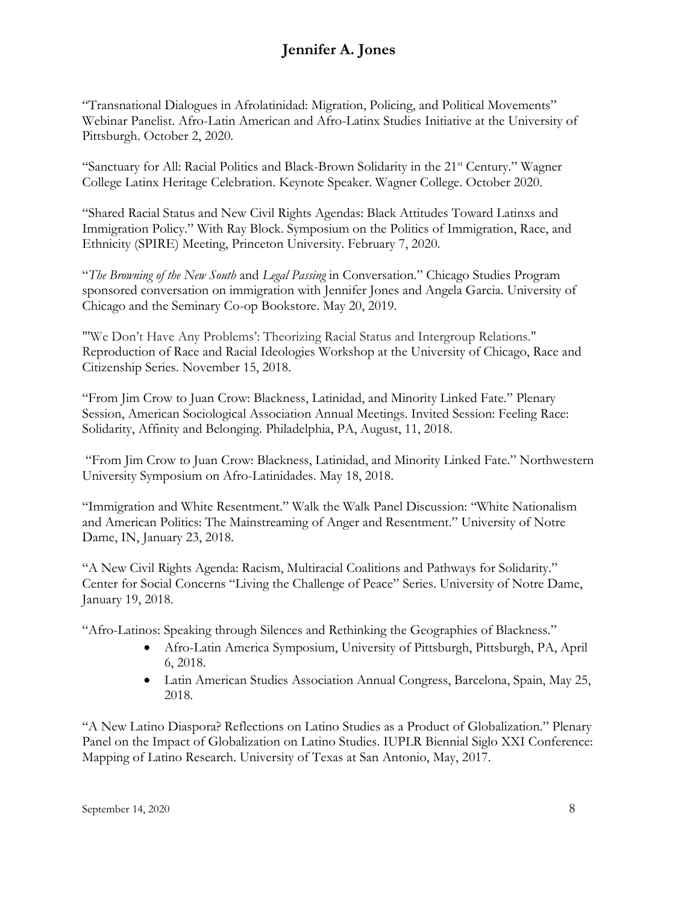"Transnational Dialogues in Afrolatinidad: Migration, Policing, and Political Movements" Webinar Panelist. Afro-Latin American and Afro-Latinx Studies Initiative at the University of Pittsburgh. October 2, 2020.

"Sanctuary for All: Racial Politics and Black-Brown Solidarity in the 21<sup>st</sup> Century." Wagner College Latinx Heritage Celebration. Keynote Speaker. Wagner College. October 2020.

"Shared Racial Status and New Civil Rights Agendas: Black Attitudes Toward Latinxs and Immigration Policy." With Ray Block. Symposium on the Politics of Immigration, Race, and Ethnicity (SPIRE) Meeting, Princeton University. February 7, 2020.

"*The Browning of the New South* and *Legal Passing* in Conversation." Chicago Studies Program sponsored conversation on immigration with Jennifer Jones and Angela Garcia. University of Chicago and the Seminary Co-op Bookstore. May 20, 2019.

"'We Don't Have Any Problems': Theorizing Racial Status and Intergroup Relations." Reproduction of Race and Racial Ideologies Workshop at the University of Chicago, Race and Citizenship Series. November 15, 2018.

"From Jim Crow to Juan Crow: Blackness, Latinidad, and Minority Linked Fate." Plenary Session, American Sociological Association Annual Meetings. Invited Session: Feeling Race: Solidarity, Affinity and Belonging. Philadelphia, PA, August, 11, 2018.

"From Jim Crow to Juan Crow: Blackness, Latinidad, and Minority Linked Fate." Northwestern University Symposium on Afro-Latinidades. May 18, 2018.

"Immigration and White Resentment." Walk the Walk Panel Discussion: "White Nationalism and American Politics: The Mainstreaming of Anger and Resentment." University of Notre Dame, IN, January 23, 2018.

"A New Civil Rights Agenda: Racism, Multiracial Coalitions and Pathways for Solidarity." Center for Social Concerns "Living the Challenge of Peace" Series. University of Notre Dame, January 19, 2018.

"Afro-Latinos: Speaking through Silences and Rethinking the Geographies of Blackness."

- Afro-Latin America Symposium, University of Pittsburgh, Pittsburgh, PA, April 6, 2018.
- Latin American Studies Association Annual Congress, Barcelona, Spain, May 25, 2018.

"A New Latino Diaspora? Reflections on Latino Studies as a Product of Globalization." Plenary Panel on the Impact of Globalization on Latino Studies. IUPLR Biennial Siglo XXI Conference: Mapping of Latino Research. University of Texas at San Antonio, May, 2017.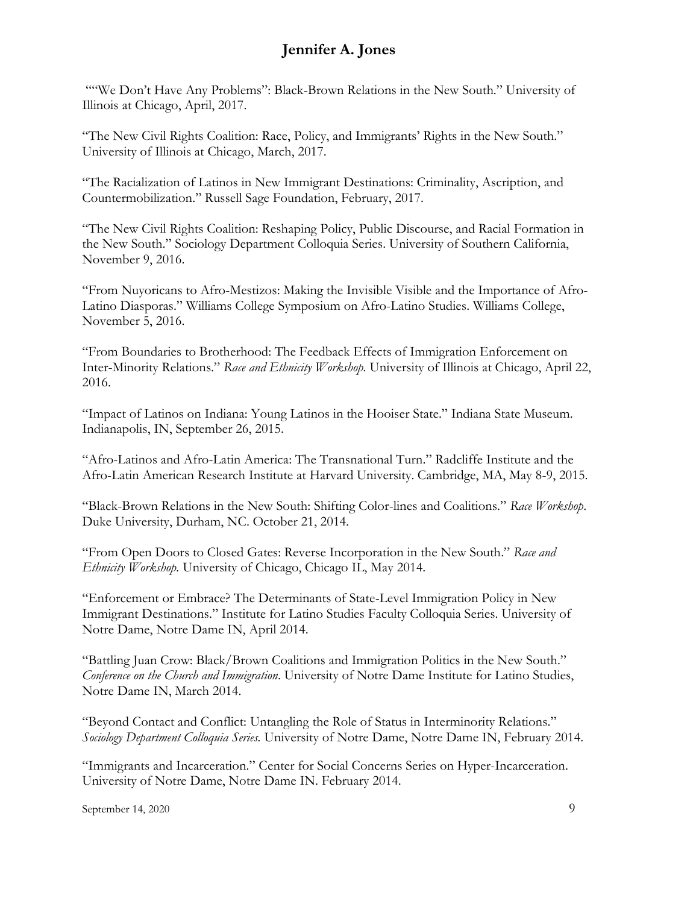""We Don't Have Any Problems": Black-Brown Relations in the New South." University of Illinois at Chicago, April, 2017.

"The New Civil Rights Coalition: Race, Policy, and Immigrants' Rights in the New South." University of Illinois at Chicago, March, 2017.

"The Racialization of Latinos in New Immigrant Destinations: Criminality, Ascription, and Countermobilization." Russell Sage Foundation, February, 2017.

"The New Civil Rights Coalition: Reshaping Policy, Public Discourse, and Racial Formation in the New South." Sociology Department Colloquia Series. University of Southern California, November 9, 2016.

"From Nuyoricans to Afro-Mestizos: Making the Invisible Visible and the Importance of Afro-Latino Diasporas." Williams College Symposium on Afro-Latino Studies. Williams College, November 5, 2016.

"From Boundaries to Brotherhood: The Feedback Effects of Immigration Enforcement on Inter-Minority Relations." *Race and Ethnicity Workshop.* University of Illinois at Chicago, April 22, 2016.

"Impact of Latinos on Indiana: Young Latinos in the Hooiser State." Indiana State Museum. Indianapolis, IN, September 26, 2015.

"Afro-Latinos and Afro-Latin America: The Transnational Turn." Radcliffe Institute and the Afro-Latin American Research Institute at Harvard University. Cambridge, MA, May 8-9, 2015.

"Black-Brown Relations in the New South: Shifting Color-lines and Coalitions." *Race Workshop*. Duke University, Durham, NC. October 21, 2014.

"From Open Doors to Closed Gates: Reverse Incorporation in the New South." *Race and Ethnicity Workshop.* University of Chicago, Chicago IL, May 2014.

"Enforcement or Embrace? The Determinants of State-Level Immigration Policy in New Immigrant Destinations." Institute for Latino Studies Faculty Colloquia Series. University of Notre Dame, Notre Dame IN, April 2014.

"Battling Juan Crow: Black/Brown Coalitions and Immigration Politics in the New South." *Conference on the Church and Immigration*. University of Notre Dame Institute for Latino Studies, Notre Dame IN, March 2014.

"Beyond Contact and Conflict: Untangling the Role of Status in Interminority Relations." *Sociology Department Colloquia Series.* University of Notre Dame, Notre Dame IN, February 2014.

"Immigrants and Incarceration." Center for Social Concerns Series on Hyper-Incarceration. University of Notre Dame, Notre Dame IN. February 2014.

September 14, 2020 9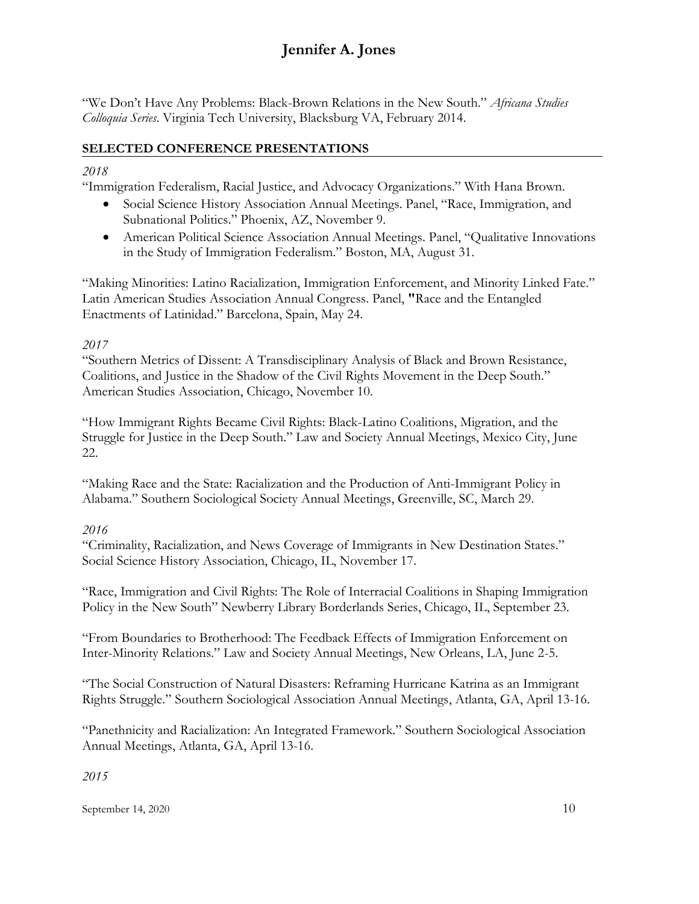"We Don't Have Any Problems: Black-Brown Relations in the New South." *Africana Studies Colloquia Series*. Virginia Tech University, Blacksburg VA, February 2014.

### **SELECTED CONFERENCE PRESENTATIONS**

### *2018*

"Immigration Federalism, Racial Justice, and Advocacy Organizations." With Hana Brown.

- Social Science History Association Annual Meetings. Panel, "Race, Immigration, and Subnational Politics." Phoenix, AZ, November 9.
- American Political Science Association Annual Meetings. Panel, "Qualitative Innovations" in the Study of Immigration Federalism." Boston, MA, August 31.

"Making Minorities: Latino Racialization, Immigration Enforcement, and Minority Linked Fate." Latin American Studies Association Annual Congress. Panel, **"**Race and the Entangled Enactments of Latinidad." Barcelona, Spain, May 24.

### *2017*

"Southern Metrics of Dissent: A Transdisciplinary Analysis of Black and Brown Resistance, Coalitions, and Justice in the Shadow of the Civil Rights Movement in the Deep South." American Studies Association, Chicago, November 10.

"How Immigrant Rights Became Civil Rights: Black-Latino Coalitions, Migration, and the Struggle for Justice in the Deep South." Law and Society Annual Meetings, Mexico City, June 22.

"Making Race and the State: Racialization and the Production of Anti-Immigrant Policy in Alabama." Southern Sociological Society Annual Meetings, Greenville, SC, March 29.

### *2016*

"Criminality, Racialization, and News Coverage of Immigrants in New Destination States." Social Science History Association, Chicago, IL, November 17.

"Race, Immigration and Civil Rights: The Role of Interracial Coalitions in Shaping Immigration Policy in the New South" Newberry Library Borderlands Series, Chicago, IL, September 23.

"From Boundaries to Brotherhood: The Feedback Effects of Immigration Enforcement on Inter-Minority Relations." Law and Society Annual Meetings, New Orleans, LA, June 2-5.

"The Social Construction of Natural Disasters: Reframing Hurricane Katrina as an Immigrant Rights Struggle." Southern Sociological Association Annual Meetings, Atlanta, GA, April 13-16.

"Panethnicity and Racialization: An Integrated Framework." Southern Sociological Association Annual Meetings, Atlanta, GA, April 13-16.

### *2015*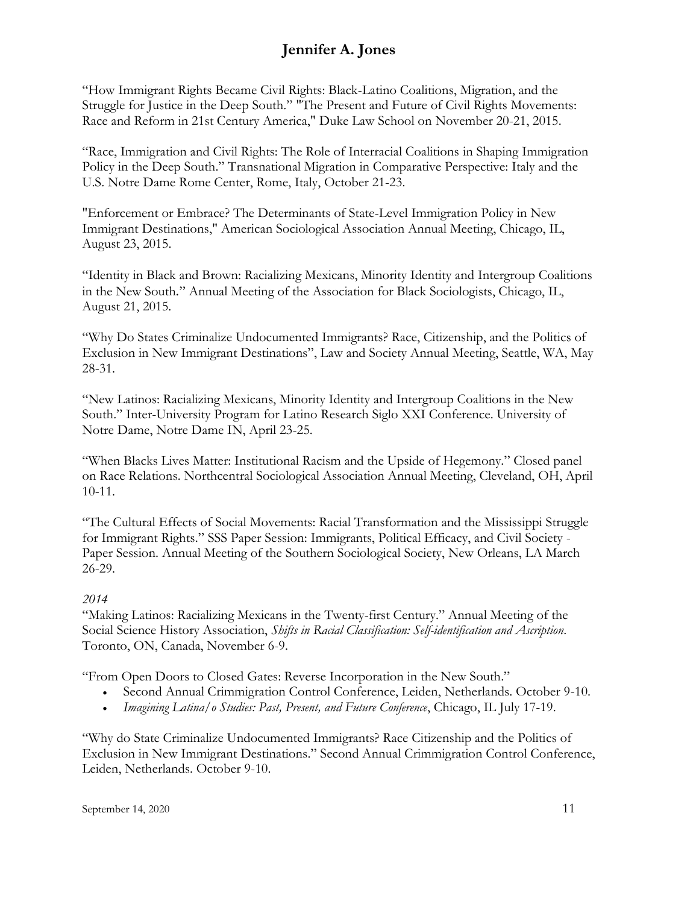"How Immigrant Rights Became Civil Rights: Black-Latino Coalitions, Migration, and the Struggle for Justice in the Deep South." "The Present and Future of Civil Rights Movements: Race and Reform in 21st Century America," Duke Law School on November 20-21, 2015.

"Race, Immigration and Civil Rights: The Role of Interracial Coalitions in Shaping Immigration Policy in the Deep South." Transnational Migration in Comparative Perspective: Italy and the U.S. Notre Dame Rome Center, Rome, Italy, October 21-23.

"Enforcement or Embrace? The Determinants of State-Level Immigration Policy in New Immigrant Destinations," American Sociological Association Annual Meeting, Chicago, IL, August 23, 2015.

"Identity in Black and Brown: Racializing Mexicans, Minority Identity and Intergroup Coalitions in the New South*.*" Annual Meeting of the Association for Black Sociologists, Chicago, IL, August 21, 2015.

"Why Do States Criminalize Undocumented Immigrants? Race, Citizenship, and the Politics of Exclusion in New Immigrant Destinations", Law and Society Annual Meeting, Seattle, WA, May 28-31.

"New Latinos: Racializing Mexicans, Minority Identity and Intergroup Coalitions in the New South." Inter-University Program for Latino Research Siglo XXI Conference. University of Notre Dame, Notre Dame IN, April 23-25.

"When Blacks Lives Matter: Institutional Racism and the Upside of Hegemony." Closed panel on Race Relations. Northcentral Sociological Association Annual Meeting, Cleveland, OH, April 10-11.

"The Cultural Effects of Social Movements: Racial Transformation and the Mississippi Struggle for Immigrant Rights." SSS Paper Session: Immigrants, Political Efficacy, and Civil Society - Paper Session. Annual Meeting of the Southern Sociological Society, New Orleans, LA March 26-29.

### *2014*

"Making Latinos: Racializing Mexicans in the Twenty-first Century." Annual Meeting of the Social Science History Association, *Shifts in Racial Classification: Self-identification and Ascription*. Toronto, ON, Canada, November 6-9.

"From Open Doors to Closed Gates: Reverse Incorporation in the New South."

- Second Annual Crimmigration Control Conference, Leiden, Netherlands. October 9-10.
- *Imagining Latina/o Studies: Past, Present, and Future Conference*, Chicago, IL July 17-19.

"Why do State Criminalize Undocumented Immigrants? Race Citizenship and the Politics of Exclusion in New Immigrant Destinations." Second Annual Crimmigration Control Conference, Leiden, Netherlands. October 9-10.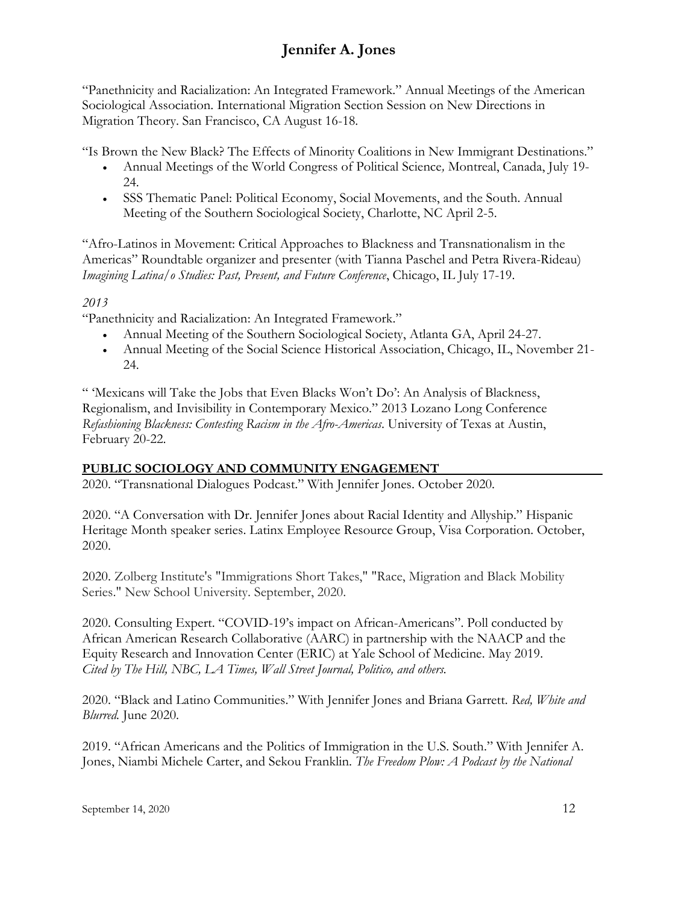"Panethnicity and Racialization: An Integrated Framework." Annual Meetings of the American Sociological Association. International Migration Section Session on New Directions in Migration Theory. San Francisco, CA August 16-18.

"Is Brown the New Black? The Effects of Minority Coalitions in New Immigrant Destinations."

- Annual Meetings of the World Congress of Political Science*,* Montreal, Canada, July 19- 24.
- SSS Thematic Panel: Political Economy, Social Movements, and the South. Annual Meeting of the Southern Sociological Society, Charlotte, NC April 2-5.

"Afro-Latinos in Movement: Critical Approaches to Blackness and Transnationalism in the Americas" Roundtable organizer and presenter (with Tianna Paschel and Petra Rivera-Rideau) *Imagining Latina/o Studies: Past, Present, and Future Conference*, Chicago, IL July 17-19.

### *2013*

"Panethnicity and Racialization: An Integrated Framework."

- Annual Meeting of the Southern Sociological Society, Atlanta GA, April 24-27.
- Annual Meeting of the Social Science Historical Association, Chicago, IL, November 21- 24.

" 'Mexicans will Take the Jobs that Even Blacks Won't Do': An Analysis of Blackness, Regionalism, and Invisibility in Contemporary Mexico." 2013 Lozano Long Conference *Refashioning Blackness: Contesting Racism in the Afro-Americas*. University of Texas at Austin, February 20-22.

### **PUBLIC SOCIOLOGY AND COMMUNITY ENGAGEMENT**

2020. "Transnational Dialogues Podcast." With Jennifer Jones. October 2020.

2020. "A Conversation with Dr. Jennifer Jones about Racial Identity and Allyship." Hispanic Heritage Month speaker series. Latinx Employee Resource Group, Visa Corporation. October, 2020.

2020. Zolberg Institute's "Immigrations Short Takes," "Race, Migration and Black Mobility Series." New School University. September, 2020.

2020. Consulting Expert. "COVID-19's impact on African-Americans". Poll conducted by African American Research Collaborative (AARC) in partnership with the NAACP and the Equity Research and Innovation Center (ERIC) at Yale School of Medicine. May 2019. *Cited by The Hill, NBC, LA Times, Wall Street Journal, Politico, and others.*

2020. "Black and Latino Communities." With Jennifer Jones and Briana Garrett. *Red, White and Blurred.* June 2020.

2019. "African Americans and the Politics of Immigration in the U.S. South." With Jennifer A. Jones, Niambi Michele Carter, and Sekou Franklin. *The Freedom Plow: A Podcast by the National*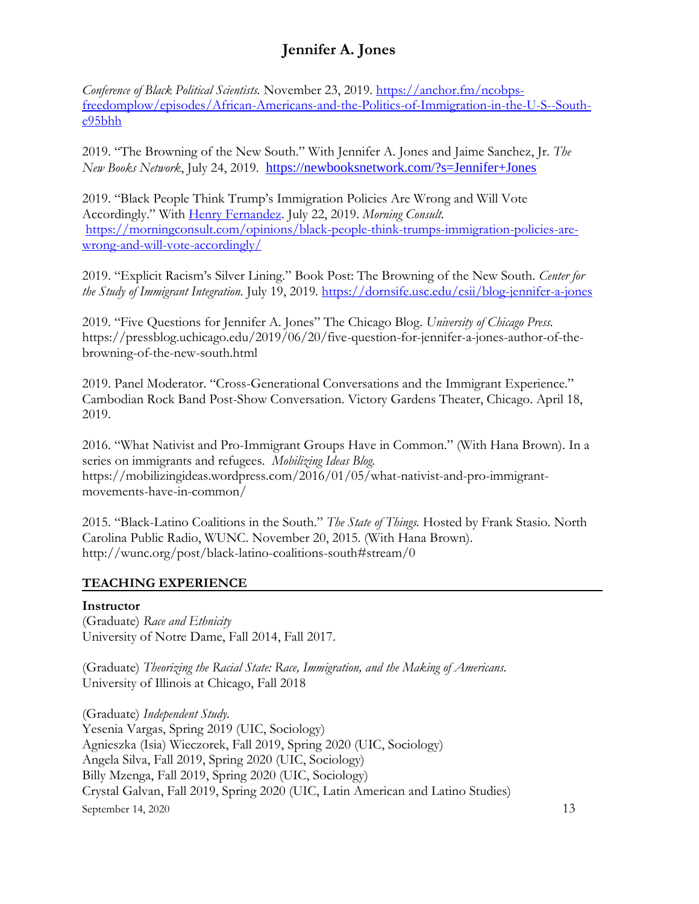*Conference of Black Political Scientists.* November 23, 2019. [https://anchor.fm/ncobps](https://anchor.fm/ncobps-freedomplow/episodes/African-Americans-and-the-Politics-of-Immigration-in-the-U-S--South-e95bhh)[freedomplow/episodes/African-Americans-and-the-Politics-of-Immigration-in-the-U-S--South](https://anchor.fm/ncobps-freedomplow/episodes/African-Americans-and-the-Politics-of-Immigration-in-the-U-S--South-e95bhh)[e95bhh](https://anchor.fm/ncobps-freedomplow/episodes/African-Americans-and-the-Politics-of-Immigration-in-the-U-S--South-e95bhh)

2019. "The Browning of the New South." With Jennifer A. Jones and Jaime Sanchez, Jr. *The New Books Network*, July 24, 2019. <https://newbooksnetwork.com/?s=Jennifer+Jones>

2019. "Black People Think Trump's Immigration Policies Are Wrong and Will Vote Accordingly." With [Henry Fernandez.](https://morningconsult.com/author/) July 22, 2019. *Morning Consult.* [https://morningconsult.com/opinions/black-people-think-trumps-immigration-policies-are](https://morningconsult.com/opinions/black-people-think-trumps-immigration-policies-are-wrong-and-will-vote-accordingly/)[wrong-and-will-vote-accordingly/](https://morningconsult.com/opinions/black-people-think-trumps-immigration-policies-are-wrong-and-will-vote-accordingly/)

2019. "Explicit Racism's Silver Lining." Book Post: The Browning of the New South. *Center for the Study of Immigrant Integration.* July 19, 2019.<https://dornsife.usc.edu/csii/blog-jennifer-a-jones>

2019. "Five Questions for Jennifer A. Jones" The Chicago Blog. *University of Chicago Press.*  https://pressblog.uchicago.edu/2019/06/20/five-question-for-jennifer-a-jones-author-of-thebrowning-of-the-new-south.html

2019. Panel Moderator. "Cross-Generational Conversations and the Immigrant Experience." Cambodian Rock Band Post-Show Conversation. Victory Gardens Theater, Chicago. April 18, 2019.

2016. "What Nativist and Pro-Immigrant Groups Have in Common." (With Hana Brown). In a series on immigrants and refugees. *Mobilizing Ideas Blog.* https://mobilizingideas.wordpress.com/2016/01/05/what-nativist-and-pro-immigrantmovements-have-in-common/

2015. "Black-Latino Coalitions in the South." *The State of Things.* Hosted by Frank Stasio. North Carolina Public Radio, WUNC. November 20, 2015. (With Hana Brown). http://wunc.org/post/black-latino-coalitions-south#stream/0

#### **TEACHING EXPERIENCE**

#### **Instructor**

(Graduate) *Race and Ethnicity* University of Notre Dame, Fall 2014, Fall 2017.

(Graduate) *Theorizing the Racial State: Race, Immigration, and the Making of Americans.* University of Illinois at Chicago, Fall 2018

September 14, 2020  $13$ (Graduate) *Independent Study.* Yesenia Vargas, Spring 2019 (UIC, Sociology) Agnieszka (Isia) Wieczorek, Fall 2019, Spring 2020 (UIC, Sociology) Angela Silva, Fall 2019, Spring 2020 (UIC, Sociology) Billy Mzenga, Fall 2019, Spring 2020 (UIC, Sociology) Crystal Galvan, Fall 2019, Spring 2020 (UIC, Latin American and Latino Studies)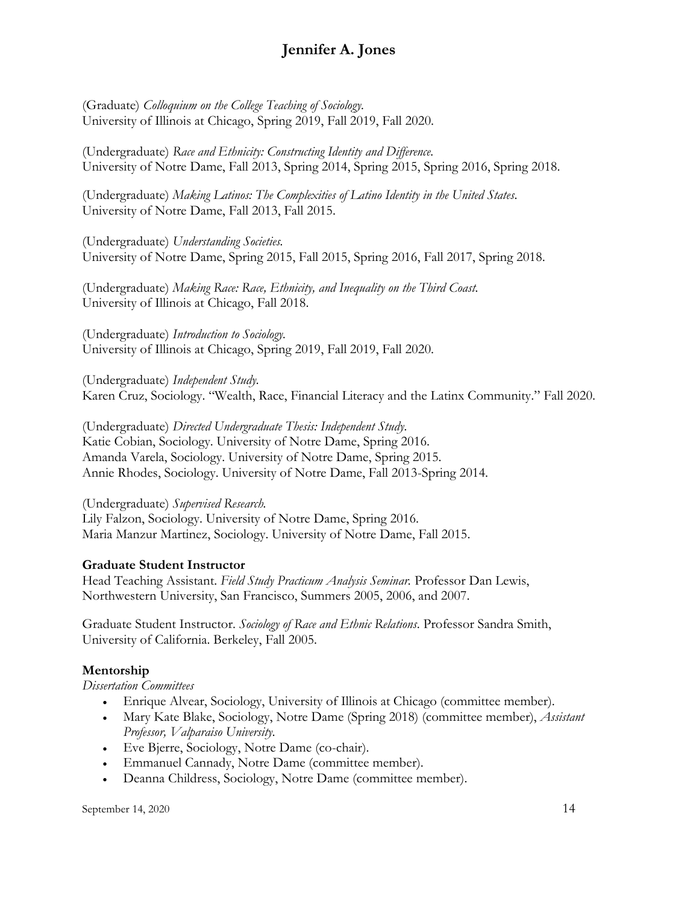(Graduate) *Colloquium on the College Teaching of Sociology.* University of Illinois at Chicago, Spring 2019, Fall 2019, Fall 2020.

(Undergraduate) *Race and Ethnicity: Constructing Identity and Difference.*  University of Notre Dame, Fall 2013, Spring 2014, Spring 2015, Spring 2016, Spring 2018.

(Undergraduate) *Making Latinos: The Complexities of Latino Identity in the United States*. University of Notre Dame, Fall 2013, Fall 2015.

(Undergraduate) *Understanding Societies.* University of Notre Dame, Spring 2015, Fall 2015, Spring 2016, Fall 2017, Spring 2018.

(Undergraduate) *Making Race: Race, Ethnicity, and Inequality on the Third Coast.* University of Illinois at Chicago, Fall 2018.

(Undergraduate) *Introduction to Sociology.* University of Illinois at Chicago, Spring 2019, Fall 2019, Fall 2020.

(Undergraduate) *Independent Study.* Karen Cruz, Sociology. "Wealth, Race, Financial Literacy and the Latinx Community." Fall 2020.

(Undergraduate) *Directed Undergraduate Thesis: Independent Study.* Katie Cobian, Sociology. University of Notre Dame, Spring 2016. Amanda Varela, Sociology. University of Notre Dame, Spring 2015. Annie Rhodes, Sociology. University of Notre Dame, Fall 2013-Spring 2014.

(Undergraduate) *Supervised Research.*

Lily Falzon, Sociology. University of Notre Dame, Spring 2016. Maria Manzur Martinez, Sociology. University of Notre Dame, Fall 2015.

### **Graduate Student Instructor**

Head Teaching Assistant. *Field Study Practicum Analysis Seminar.* Professor Dan Lewis, Northwestern University, San Francisco, Summers 2005, 2006, and 2007.

Graduate Student Instructor. *Sociology of Race and Ethnic Relations*. Professor Sandra Smith, University of California. Berkeley, Fall 2005.

### **Mentorship**

*Dissertation Committees*

- Enrique Alvear, Sociology, University of Illinois at Chicago (committee member).
- Mary Kate Blake, Sociology, Notre Dame (Spring 2018) (committee member), *Assistant Professor, Valparaiso University.*
- Eve Bjerre, Sociology, Notre Dame (co-chair).
- Emmanuel Cannady, Notre Dame (committee member).
- Deanna Childress, Sociology, Notre Dame (committee member).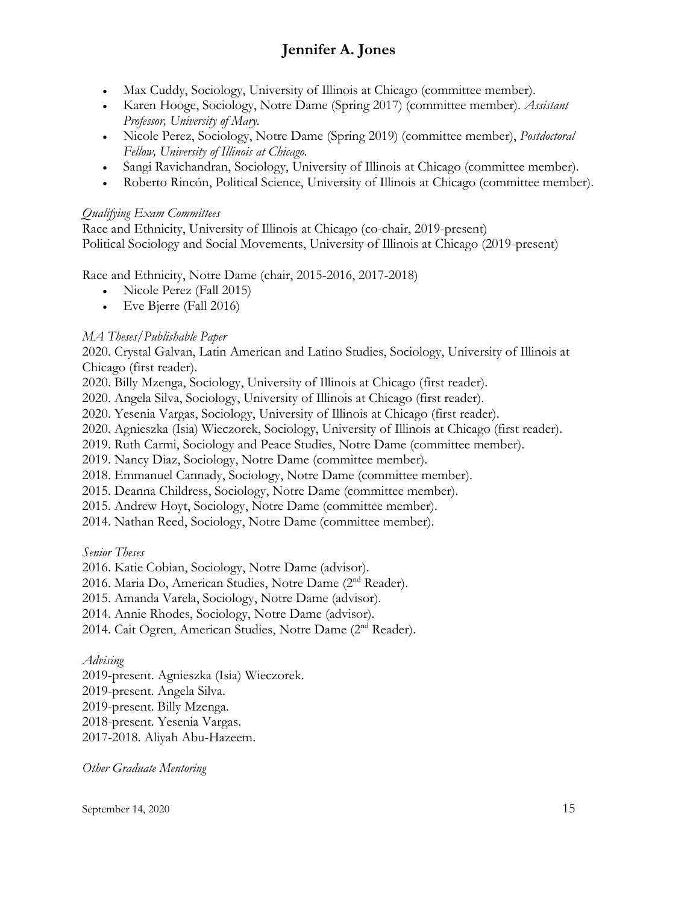- Max Cuddy, Sociology, University of Illinois at Chicago (committee member).
- Karen Hooge, Sociology, Notre Dame (Spring 2017) (committee member). *Assistant Professor, University of Mary.*
- Nicole Perez, Sociology, Notre Dame (Spring 2019) (committee member), *Postdoctoral Fellow, University of Illinois at Chicago.*
- Sangi Ravichandran, Sociology, University of Illinois at Chicago (committee member).
- Roberto Rincón, Political Science, University of Illinois at Chicago (committee member).

#### *Qualifying Exam Committees*

Race and Ethnicity, University of Illinois at Chicago (co-chair, 2019-present) Political Sociology and Social Movements, University of Illinois at Chicago (2019-present)

Race and Ethnicity, Notre Dame (chair, 2015-2016, 2017-2018)

- Nicole Perez (Fall 2015)
- Eve Bjerre (Fall 2016)

### *MA Theses/Publishable Paper*

2020. Crystal Galvan, Latin American and Latino Studies, Sociology, University of Illinois at Chicago (first reader).

2020. Billy Mzenga, Sociology, University of Illinois at Chicago (first reader).

2020. Angela Silva, Sociology, University of Illinois at Chicago (first reader).

2020. Yesenia Vargas, Sociology, University of Illinois at Chicago (first reader).

2020. Agnieszka (Isia) Wieczorek, Sociology, University of Illinois at Chicago (first reader).

2019. Ruth Carmi, Sociology and Peace Studies, Notre Dame (committee member).

2019. Nancy Diaz, Sociology, Notre Dame (committee member).

2018. Emmanuel Cannady, Sociology, Notre Dame (committee member).

2015. Deanna Childress, Sociology, Notre Dame (committee member).

2015. Andrew Hoyt, Sociology, Notre Dame (committee member).

2014. Nathan Reed, Sociology, Notre Dame (committee member).

*Senior Theses*

2016. Katie Cobian, Sociology, Notre Dame (advisor).

2016. Maria Do, American Studies, Notre Dame (2nd Reader).

2015. Amanda Varela, Sociology, Notre Dame (advisor).

2014. Annie Rhodes, Sociology, Notre Dame (advisor).

2014. Cait Ogren, American Studies, Notre Dame (2nd Reader).

#### *Advising*

2019-present. Agnieszka (Isia) Wieczorek.

2019-present. Angela Silva.

2019-present. Billy Mzenga.

2018-present. Yesenia Vargas.

2017-2018. Aliyah Abu-Hazeem.

*Other Graduate Mentoring*

September 14, 2020  $15$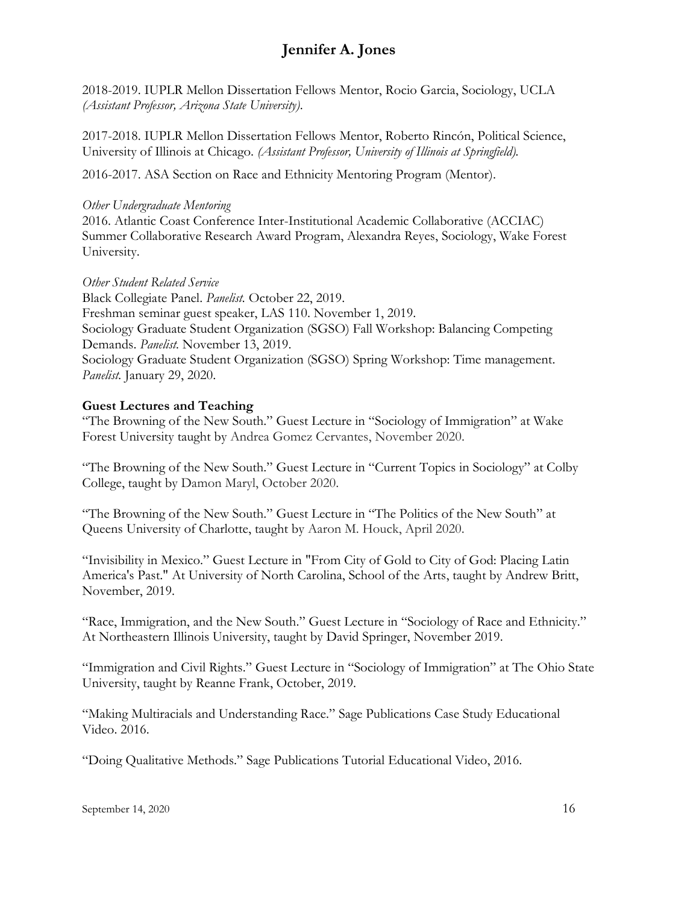2018-2019. IUPLR Mellon Dissertation Fellows Mentor, Rocio Garcia, Sociology, UCLA *(Assistant Professor, Arizona State University)*.

2017-2018. IUPLR Mellon Dissertation Fellows Mentor, Roberto Rincón, Political Science, University of Illinois at Chicago. *(Assistant Professor, University of Illinois at Springfield).*

2016-2017. ASA Section on Race and Ethnicity Mentoring Program (Mentor).

#### *Other Undergraduate Mentoring*

2016. Atlantic Coast Conference Inter-Institutional Academic Collaborative (ACCIAC) Summer Collaborative Research Award Program, Alexandra Reyes, Sociology, Wake Forest University.

*Other Student Related Service* Black Collegiate Panel. *Panelist.* October 22, 2019. Freshman seminar guest speaker, LAS 110. November 1, 2019. Sociology Graduate Student Organization (SGSO) Fall Workshop: Balancing Competing Demands. *Panelist.* November 13, 2019. Sociology Graduate Student Organization (SGSO) Spring Workshop: Time management. *Panelist.* January 29, 2020.

#### **Guest Lectures and Teaching**

"The Browning of the New South." Guest Lecture in "Sociology of Immigration" at Wake Forest University taught by Andrea Gomez Cervantes, November 2020.

"The Browning of the New South." Guest Lecture in "Current Topics in Sociology" at Colby College, taught by Damon Maryl, October 2020.

"The Browning of the New South." Guest Lecture in "The Politics of the New South" at Queens University of Charlotte, taught by Aaron M. Houck, April 2020.

"Invisibility in Mexico." Guest Lecture in "From City of Gold to City of God: Placing Latin America's Past." At University of North Carolina, School of the Arts, taught by Andrew Britt, November, 2019.

"Race, Immigration, and the New South." Guest Lecture in "Sociology of Race and Ethnicity." At Northeastern Illinois University, taught by David Springer, November 2019.

"Immigration and Civil Rights." Guest Lecture in "Sociology of Immigration" at The Ohio State University, taught by Reanne Frank, October, 2019.

"Making Multiracials and Understanding Race." Sage Publications Case Study Educational Video. 2016.

"Doing Qualitative Methods." Sage Publications Tutorial Educational Video, 2016.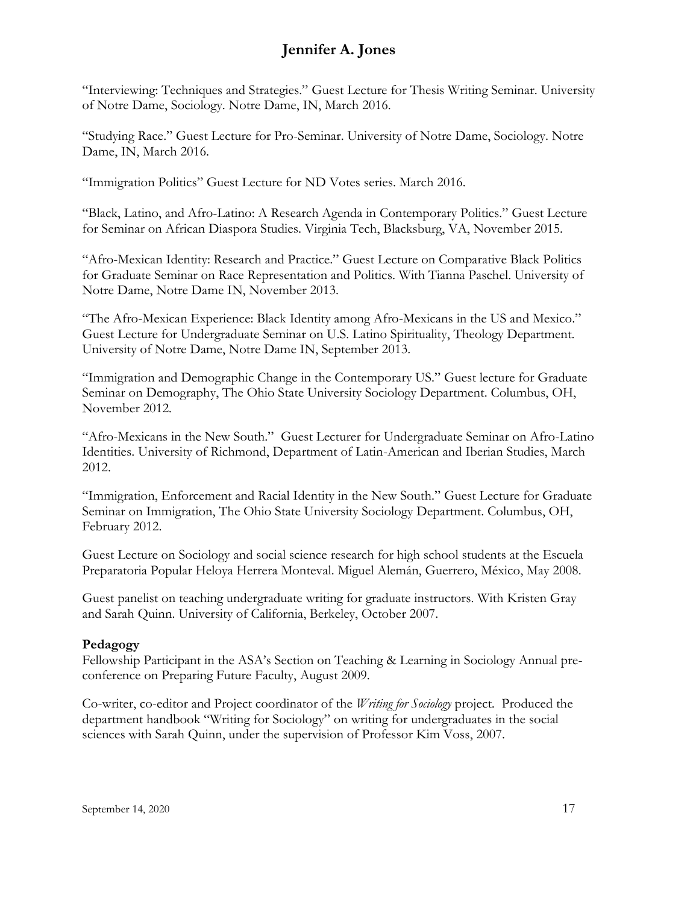"Interviewing: Techniques and Strategies." Guest Lecture for Thesis Writing Seminar. University of Notre Dame, Sociology. Notre Dame, IN, March 2016.

"Studying Race." Guest Lecture for Pro-Seminar. University of Notre Dame, Sociology. Notre Dame, IN, March 2016.

"Immigration Politics" Guest Lecture for ND Votes series. March 2016.

"Black, Latino, and Afro-Latino: A Research Agenda in Contemporary Politics." Guest Lecture for Seminar on African Diaspora Studies. Virginia Tech, Blacksburg, VA, November 2015.

"Afro-Mexican Identity: Research and Practice." Guest Lecture on Comparative Black Politics for Graduate Seminar on Race Representation and Politics. With Tianna Paschel. University of Notre Dame, Notre Dame IN, November 2013.

"The Afro-Mexican Experience: Black Identity among Afro-Mexicans in the US and Mexico." Guest Lecture for Undergraduate Seminar on U.S. Latino Spirituality, Theology Department. University of Notre Dame, Notre Dame IN, September 2013.

"Immigration and Demographic Change in the Contemporary US." Guest lecture for Graduate Seminar on Demography, The Ohio State University Sociology Department. Columbus, OH, November 2012*.*

"Afro-Mexicans in the New South." Guest Lecturer for Undergraduate Seminar on Afro-Latino Identities. University of Richmond, Department of Latin-American and Iberian Studies, March 2012.

"Immigration, Enforcement and Racial Identity in the New South." Guest Lecture for Graduate Seminar on Immigration, The Ohio State University Sociology Department. Columbus, OH, February 2012.

Guest Lecture on Sociology and social science research for high school students at the Escuela Preparatoria Popular Heloya Herrera Monteval. Miguel Alemán, Guerrero, México, May 2008.

Guest panelist on teaching undergraduate writing for graduate instructors. With Kristen Gray and Sarah Quinn. University of California, Berkeley, October 2007.

#### **Pedagogy**

Fellowship Participant in the ASA's Section on Teaching & Learning in Sociology Annual preconference on Preparing Future Faculty, August 2009.

Co-writer, co-editor and Project coordinator of the *Writing for Sociology* project*.* Produced the department handbook "Writing for Sociology" on writing for undergraduates in the social sciences with Sarah Quinn, under the supervision of Professor Kim Voss, 2007.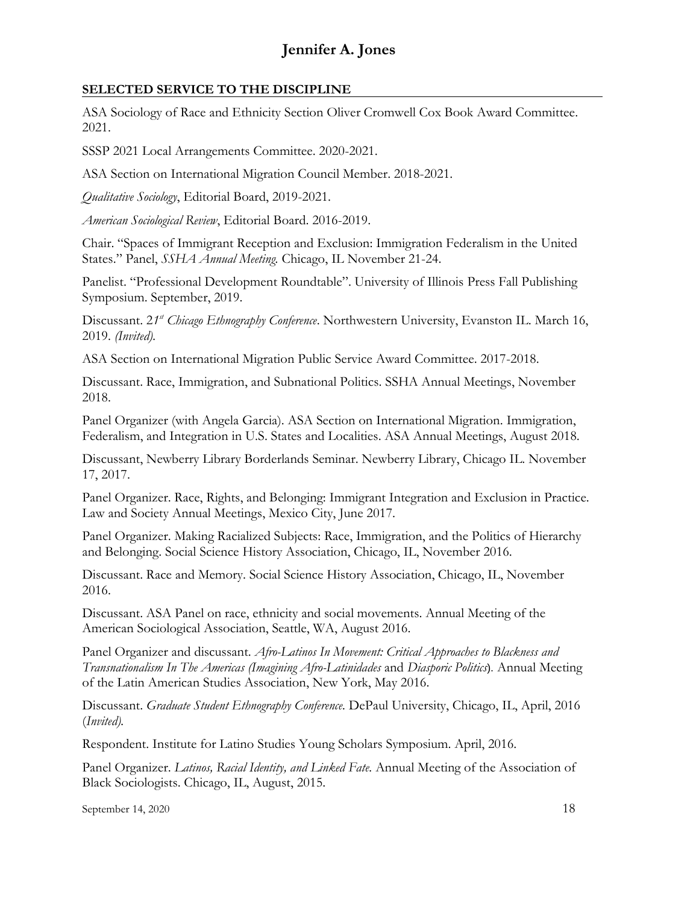#### **SELECTED SERVICE TO THE DISCIPLINE**

ASA Sociology of Race and Ethnicity Section Oliver Cromwell Cox Book Award Committee. 2021.

SSSP 2021 Local Arrangements Committee. 2020-2021.

ASA Section on International Migration Council Member. 2018-2021.

*Qualitative Sociology*, Editorial Board, 2019-2021.

*American Sociological Review*, Editorial Board. 2016-2019.

Chair. "Spaces of Immigrant Reception and Exclusion: Immigration Federalism in the United States." Panel, *SSHA Annual Meeting.* Chicago, IL November 21-24.

Panelist. "Professional Development Roundtable". University of Illinois Press Fall Publishing Symposium. September, 2019.

Discussant. 21<sup>st</sup> Chicago Ethnography Conference. Northwestern University, Evanston IL. March 16, 2019. *(Invited).*

ASA Section on International Migration Public Service Award Committee. 2017-2018.

Discussant. Race, Immigration, and Subnational Politics. SSHA Annual Meetings, November 2018.

Panel Organizer (with Angela Garcia). ASA Section on International Migration. Immigration, Federalism, and Integration in U.S. States and Localities. ASA Annual Meetings, August 2018.

Discussant, Newberry Library Borderlands Seminar. Newberry Library, Chicago IL. November 17, 2017.

Panel Organizer. Race, Rights, and Belonging: Immigrant Integration and Exclusion in Practice. Law and Society Annual Meetings, Mexico City, June 2017.

Panel Organizer. Making Racialized Subjects: Race, Immigration, and the Politics of Hierarchy and Belonging. Social Science History Association, Chicago, IL, November 2016.

Discussant. Race and Memory. Social Science History Association, Chicago, IL, November 2016.

Discussant. ASA Panel on race, ethnicity and social movements. Annual Meeting of the American Sociological Association, Seattle, WA, August 2016.

Panel Organizer and discussant. *Afro-Latinos In Movement: Critical Approaches to Blackness and Transnationalism In The Americas (Imagining Afro-Latinidades* and *Diasporic Politics*). Annual Meeting of the Latin American Studies Association, New York, May 2016.

Discussant. *Graduate Student Ethnography Conference.* DePaul University, Chicago, IL, April, 2016 (*Invited).*

Respondent. Institute for Latino Studies Young Scholars Symposium. April, 2016.

Panel Organizer. *Latinos, Racial Identity, and Linked Fate.* Annual Meeting of the Association of Black Sociologists. Chicago, IL, August, 2015.

September 14, 2020  $18$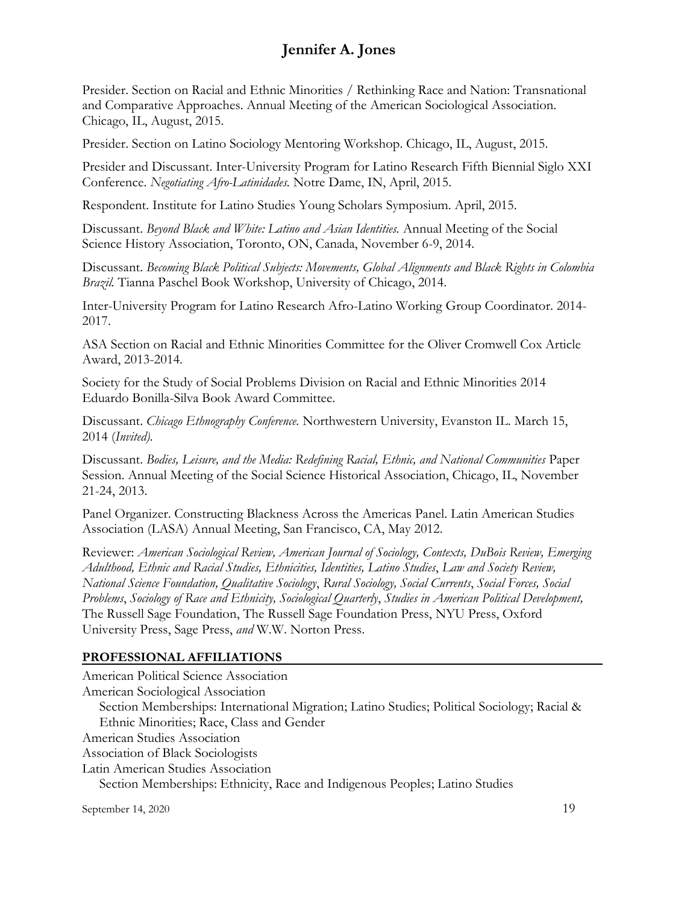Presider. Section on Racial and Ethnic Minorities / Rethinking Race and Nation: Transnational and Comparative Approaches. Annual Meeting of the American Sociological Association. Chicago, IL, August, 2015.

Presider. Section on Latino Sociology Mentoring Workshop. Chicago, IL, August, 2015.

Presider and Discussant. Inter-University Program for Latino Research Fifth Biennial Siglo XXI Conference. *Negotiating Afro-Latinidades.* Notre Dame, IN, April, 2015.

Respondent. Institute for Latino Studies Young Scholars Symposium. April, 2015.

Discussant. *Beyond Black and White: Latino and Asian Identities.* Annual Meeting of the Social Science History Association, Toronto, ON, Canada, November 6-9, 2014.

Discussant. *Becoming Black Political Subjects: Movements, Global Alignments and Black Rights in Colombia Brazil.* Tianna Paschel Book Workshop, University of Chicago, 2014.

Inter-University Program for Latino Research Afro-Latino Working Group Coordinator. 2014- 2017.

ASA Section on Racial and Ethnic Minorities Committee for the Oliver Cromwell Cox Article Award, 2013-2014.

Society for the Study of Social Problems Division on Racial and Ethnic Minorities 2014 Eduardo Bonilla-Silva Book Award Committee.

Discussant. *Chicago Ethnography Conference.* Northwestern University, Evanston IL. March 15, 2014 (*Invited).*

Discussant. *Bodies, Leisure, and the Media: Redefining Racial, Ethnic, and National Communities* Paper Session. Annual Meeting of the Social Science Historical Association, Chicago, IL, November 21-24, 2013.

Panel Organizer. Constructing Blackness Across the Americas Panel. Latin American Studies Association (LASA) Annual Meeting, San Francisco, CA, May 2012.

Reviewer: *American Sociological Review, American Journal of Sociology, Contexts, DuBois Review, Emerging Adulthood, Ethnic and Racial Studies, Ethnicities, Identities, Latino Studies*, *Law and Society Review, National Science Foundation, Qualitative Sociology*, *Rural Sociology, Social Currents*, *Social Forces, Social Problems*, *Sociology of Race and Ethnicity, Sociological Quarterly*, *Studies in American Political Development,*  The Russell Sage Foundation, The Russell Sage Foundation Press, NYU Press, Oxford University Press, Sage Press, *and* W.W. Norton Press.

#### **PROFESSIONAL AFFILIATIONS**

September 14, 2020  $19$ American Political Science Association American Sociological Association Section Memberships: International Migration; Latino Studies; Political Sociology; Racial & Ethnic Minorities; Race, Class and Gender American Studies Association Association of Black Sociologists Latin American Studies Association Section Memberships: Ethnicity, Race and Indigenous Peoples; Latino Studies